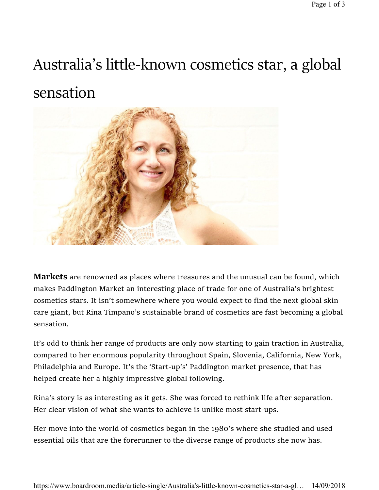## Australia's little-known cosmetics star, a global sensation



**Markets** are renowned as places where treasures and the unusual can be found, which makes Paddington Market an interesting place of trade for one of Australia's brightest cosmetics stars. It isn't somewhere where you would expect to find the next global skin care giant, but Rina Timpano's sustainable brand of cosmetics are fast becoming a global sensation.

It's odd to think her range of products are only now starting to gain traction in Australia, compared to her enormous popularity throughout Spain, Slovenia, California, New York, Philadelphia and Europe. It's the 'Start-up's' Paddington market presence, that has helped create her a highly impressive global following.

Rina's story is as interesting as it gets. She was forced to rethink life after separation. Her clear vision of what she wants to achieve is unlike most start-ups.

Her move into the world of cosmetics began in the 1980's where she studied and used essential oils that are the forerunner to the diverse range of products she now has.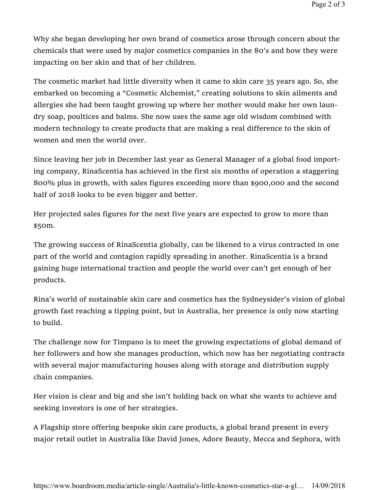Why she began developing her own brand of cosmetics arose through concern about the chemicals that were used by major cosmetics companies in the 80's and how they were impacting on her skin and that of her children.

The cosmetic market had little diversity when it came to skin care 35 years ago. So, she embarked on becoming a "Cosmetic Alchemist," creating solutions to skin ailments and allergies she had been taught growing up where her mother would make her own laundry soap, poultices and balms. She now uses the same age old wisdom combined with modern technology to create products that are making a real difference to the skin of women and men the world over.

Since leaving her job in December last year as General Manager of a global food importing company, RinaScentia has achieved in the first six months of operation a staggering 800% plus in growth, with sales figures exceeding more than \$900,000 and the second half of 2018 looks to be even bigger and better.

Her projected sales figures for the next five years are expected to grow to more than \$50m.

The growing success of RinaScentia globally, can be likened to a virus contracted in one part of the world and contagion rapidly spreading in another. RinaScentia is a brand gaining huge international traction and people the world over can't get enough of her products.

Rina's world of sustainable skin care and cosmetics has the Sydneysider's vision of global growth fast reaching a tipping point, but in Australia, her presence is only now starting to build.

The challenge now for Timpano is to meet the growing expectations of global demand of her followers and how she manages production, which now has her negotiating contracts with several major manufacturing houses along with storage and distribution supply chain companies.

Her vision is clear and big and she isn't holding back on what she wants to achieve and seeking investors is one of her strategies.

A Flagship store offering bespoke skin care products, a global brand present in every major retail outlet in Australia like David Jones, Adore Beauty, Mecca and Sephora, with